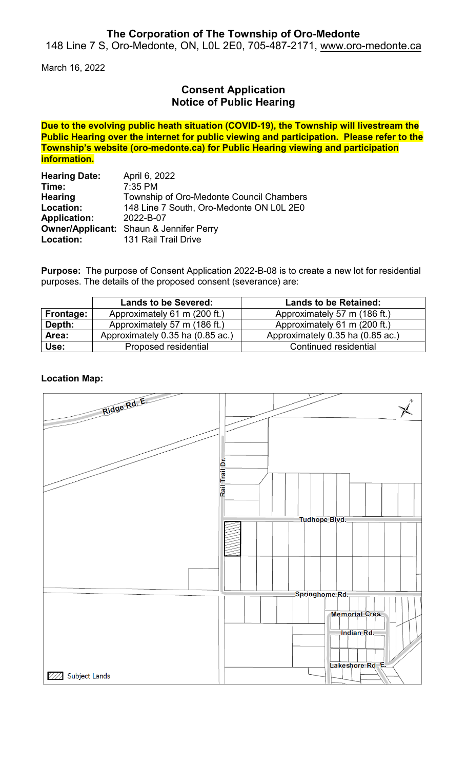### **The Corporation of The Township of Oro-Medonte**

148 Line 7 S, Oro-Medonte, ON, L0L 2E0, 705-487-2171, [www.oro-medonte.ca](http://www.oro-medonte.ca/)

March 16, 2022

## **Consent Application Notice of Public Hearing**

**Due to the evolving public heath situation (COVID-19), the Township will livestream the Public Hearing over the internet for public viewing and participation. Please refer to the Township's website (oro-medonte.ca) for Public Hearing viewing and participation information.**

| <b>Hearing Date:</b> | April 6, 2022                                  |
|----------------------|------------------------------------------------|
| Time:                | $7:35$ PM                                      |
| <b>Hearing</b>       | Township of Oro-Medonte Council Chambers       |
| Location:            | 148 Line 7 South, Oro-Medonte ON L0L 2E0       |
| <b>Application:</b>  | 2022-B-07                                      |
|                      | <b>Owner/Applicant:</b> Shaun & Jennifer Perry |
| Location:            | 131 Rail Trail Drive                           |

**Purpose:** The purpose of Consent Application 2022-B-08 is to create a new lot for residential purposes. The details of the proposed consent (severance) are:

|           | <b>Lands to be Severed:</b>      | <b>Lands to be Retained:</b>     |
|-----------|----------------------------------|----------------------------------|
| Frontage: | Approximately 61 m (200 ft.)     | Approximately 57 m (186 ft.)     |
| Depth:    | Approximately 57 m (186 ft.)     | Approximately 61 m (200 ft.)     |
| Area:     | Approximately 0.35 ha (0.85 ac.) | Approximately 0.35 ha (0.85 ac.) |
| Use:      | Proposed residential             | Continued residential            |

### **Location Map:**

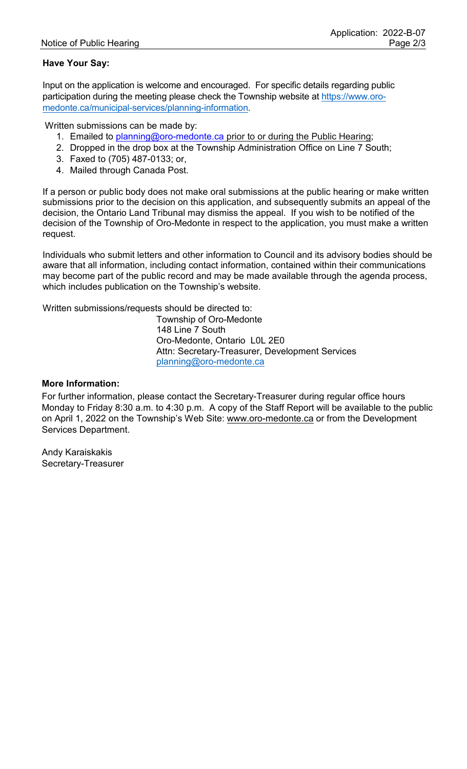### **Have Your Say:**

Input on the application is welcome and encouraged. For specific details regarding public participation during the meeting please check the Township website at [https://www.oro](https://www.oro-medonte.ca/municipal-services/planning-information)[medonte.ca/municipal-services/planning-information.](https://www.oro-medonte.ca/municipal-services/planning-information)

Written submissions can be made by:

- 1. Emailed to [planning@oro-medonte.ca](mailto:planning@oro-medonte.ca) prior to or during the Public Hearing;
- 2. Dropped in the drop box at the Township Administration Office on Line 7 South;
- 3. Faxed to (705) 487-0133; or,
- 4. Mailed through Canada Post.

If a person or public body does not make oral submissions at the public hearing or make written submissions prior to the decision on this application, and subsequently submits an appeal of the decision, the Ontario Land Tribunal may dismiss the appeal. If you wish to be notified of the decision of the Township of Oro-Medonte in respect to the application, you must make a written request.

Individuals who submit letters and other information to Council and its advisory bodies should be aware that all information, including contact information, contained within their communications may become part of the public record and may be made available through the agenda process, which includes publication on the Township's website.

Written submissions/requests should be directed to:

Township of Oro-Medonte 148 Line 7 South Oro-Medonte, Ontario L0L 2E0 Attn: Secretary-Treasurer, Development Services [planning@oro-medonte.ca](mailto:planning@oro-medonte.ca)

#### **More Information:**

For further information, please contact the Secretary-Treasurer during regular office hours Monday to Friday 8:30 a.m. to 4:30 p.m. A copy of the Staff Report will be available to the public on April 1, 2022 on the Township's Web Site: [www.oro-medonte.ca](http://www.oro-medonte.ca/) or from the Development Services Department.

Andy Karaiskakis Secretary-Treasurer